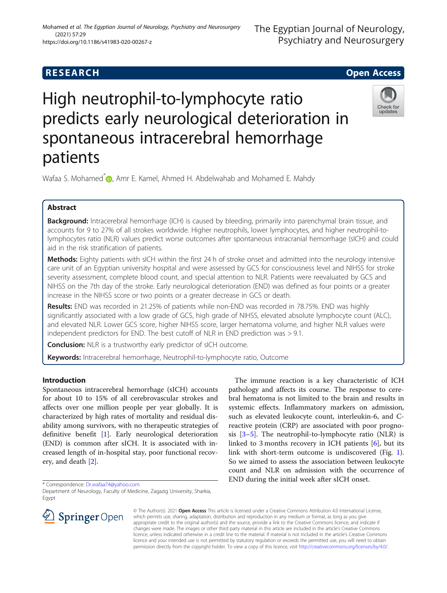# **RESEARCH CHE Open Access**

# High neutrophil-to-lymphocyte ratio predicts early neurological deterioration in spontaneous intracerebral hemorrhage patients



Wafaa S. Mohamed<sup>\*</sup> **D**[,](http://orcid.org/0000-0002-8683-6719) Amr E. Kamel, Ahmed H. Abdelwahab and Mohamed E. Mahdy

# Abstract

**Background:** Intracerebral hemorrhage (ICH) is caused by bleeding, primarily into parenchymal brain tissue, and accounts for 9 to 27% of all strokes worldwide. Higher neutrophils, lower lymphocytes, and higher neutrophil-tolymphocytes ratio (NLR) values predict worse outcomes after spontaneous intracranial hemorrhage (sICH) and could aid in the risk stratification of patients.

Methods: Eighty patients with sICH within the first 24 h of stroke onset and admitted into the neurology intensive care unit of an Egyptian university hospital and were assessed by GCS for consciousness level and NIHSS for stroke severity assessment, complete blood count, and special attention to NLR. Patients were reevaluated by GCS and NIHSS on the 7th day of the stroke. Early neurological deterioration (END) was defined as four points or a greater increase in the NIHSS score or two points or a greater decrease in GCS or death.

Results: END was recorded in 21.25% of patients while non-END was recorded in 78.75%. END was highly significantly associated with a low grade of GCS, high grade of NIHSS, elevated absolute lymphocyte count (ALC), and elevated NLR. Lower GCS score, higher NIHSS score, larger hematoma volume, and higher NLR values were independent predictors for END. The best cutoff of NLR in END prediction was > 9.1.

**Conclusion:** NLR is a trustworthy early predictor of sICH outcome.

Keywords: Intracerebral hemorrhage, Neutrophil-to-lymphocyte ratio, Outcome

## Introduction

Spontaneous intracerebral hemorrhage (sICH) accounts for about 10 to 15% of all cerebrovascular strokes and affects over one million people per year globally. It is characterized by high rates of mortality and residual disability among survivors, with no therapeutic strategies of definitive benefit [[1\]](#page-4-0). Early neurological deterioration (END) is common after sICH. It is associated with increased length of in-hospital stay, poor functional recovery, and death [[2\]](#page-4-0).

\* Correspondence: [Dr.wafaa74@yahoo.com](mailto:Dr.wafaa74@yahoo.com)

Department of Neurology, Faculty of Medicine, Zagazig University, Sharkia, Egypt



The immune reaction is a key characteristic of ICH pathology and affects its course. The response to cerebral hematoma is not limited to the brain and results in systemic effects. Inflammatory markers on admission, such as elevated leukocyte count, interleukin-6, and Creactive protein (CRP) are associated with poor prognosis  $[3-5]$  $[3-5]$  $[3-5]$  $[3-5]$  $[3-5]$ . The neutrophil-to-lymphocyte ratio (NLR) is linked to 3 months recovery in ICH patients [[6\]](#page-4-0), but its link with short-term outcome is undiscovered (Fig. [1](#page-1-0)). So we aimed to assess the association between leukocyte count and NLR on admission with the occurrence of END during the initial week after sICH onset.

© The Author(s). 2021 Open Access This article is licensed under a Creative Commons Attribution 4.0 International License, which permits use, sharing, adaptation, distribution and reproduction in any medium or format, as long as you give appropriate credit to the original author(s) and the source, provide a link to the Creative Commons licence, and indicate if changes were made. The images or other third party material in this article are included in the article's Creative Commons licence, unless indicated otherwise in a credit line to the material. If material is not included in the article's Creative Commons licence and your intended use is not permitted by statutory regulation or exceeds the permitted use, you will need to obtain permission directly from the copyright holder. To view a copy of this licence, visit <http://creativecommons.org/licenses/by/4.0/>.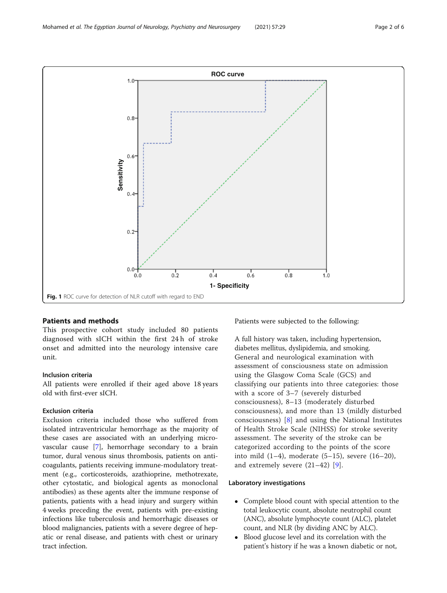<span id="page-1-0"></span>

#### Patients and methods

This prospective cohort study included 80 patients diagnosed with sICH within the first 24 h of stroke onset and admitted into the neurology intensive care unit.

#### Inclusion criteria

All patients were enrolled if their aged above 18 years old with first-ever sICH.

#### Exclusion criteria

Exclusion criteria included those who suffered from isolated intraventricular hemorrhage as the majority of these cases are associated with an underlying microvascular cause [[7\]](#page-4-0), hemorrhage secondary to a brain tumor, dural venous sinus thrombosis, patients on anticoagulants, patients receiving immune-modulatory treatment (e.g., corticosteroids, azathioprine, methotrexate, other cytostatic, and biological agents as monoclonal antibodies) as these agents alter the immune response of patients, patients with a head injury and surgery within 4 weeks preceding the event, patients with pre-existing infections like tuberculosis and hemorrhagic diseases or blood malignancies, patients with a severe degree of hepatic or renal disease, and patients with chest or urinary tract infection.

Patients were subjected to the following:

A full history was taken, including hypertension, diabetes mellitus, dyslipidemia, and smoking. General and neurological examination with assessment of consciousness state on admission using the Glasgow Coma Scale (GCS) and classifying our patients into three categories: those with a score of 3–7 (severely disturbed consciousness), 8–13 (moderately disturbed consciousness), and more than 13 (mildly disturbed consciousness) [[8\]](#page-4-0) and using the National Institutes of Health Stroke Scale (NIHSS) for stroke severity assessment. The severity of the stroke can be categorized according to the points of the score into mild  $(1-4)$ , moderate  $(5-15)$ , severe  $(16-20)$ , and extremely severe (21–42) [[9\]](#page-4-0).

#### Laboratory investigations

- Complete blood count with special attention to the total leukocytic count, absolute neutrophil count (ANC), absolute lymphocyte count (ALC), platelet count, and NLR (by dividing ANC by ALC).
- Blood glucose level and its correlation with the patient's history if he was a known diabetic or not,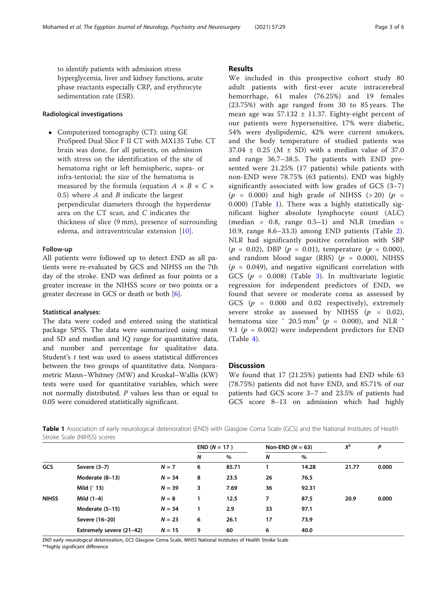to identify patients with admission stress hyperglycemia, liver and kidney functions, acute phase reactants especially CRP, and erythrocyte sedimentation rate (ESR).

### Radiological investigations

• Computerized tomography (CT): using GE ProSpeed Dual Slice F II CT with MX135 Tube. CT brain was done, for all patients, on admission with stress on the identification of the site of hematoma right or left hemispheric, supra- or infra-tentorial; the size of the hematoma is measured by the formula (equation  $A \times B \times C \times$ 0.5) where  $A$  and  $B$  indicate the largest perpendicular diameters through the hyperdense area on the CT scan, and C indicates the thickness of slice (9 mm), presence of surrounding edema, and intraventricular extension [\[10](#page-4-0)].

#### Follow-up

All patients were followed up to detect END as all patients were re-evaluated by GCS and NIHSS on the 7th day of the stroke. END was defined as four points or a greater increase in the NIHSS score or two points or a greater decrease in GCS or death or both [\[6](#page-4-0)].

#### Statistical analyses:

The data were coded and entered using the statistical package SPSS. The data were summarized using mean and SD and median and IQ range for quantitative data, and number and percentage for qualitative data. Student's t test was used to assess statistical differences between the two groups of quantitative data. Nonparametric Mann–Whitney (MW) and Kruskal–Wallis (KW) tests were used for quantitative variables, which were not normally distributed. P values less than or equal to 0.05 were considered statistically significant.

#### Results

We included in this prospective cohort study 80 adult patients with first-ever acute intracerebral hemorrhage, 61 males (76.25%) and 19 females (23.75%) with age ranged from 30 to 85 years. The mean age was  $57.132 \pm 11.37$ . Eighty-eight percent of our patients were hypersensitive, 17% were diabetic, 54% were dyslipidemic, 42% were current smokers, and the body temperature of studied patients was  $37.04 \pm 0.25$  (M  $\pm$  SD) with a median value of 37.0 and range 36.7–38.5. The patients with END presented were 21.25% (17 patients) while patients with non-END were 78.75% (63 patients). END was highly significantly associated with low grades of GCS (3–7)  $(p = 0.000)$  and high grade of NIHSS (>20)  $(p =$ 0.000) (Table 1). There was a highly statistically significant higher absolute lymphocyte count (ALC) (median =  $0.8$ , range  $0.5-1$ ) and NLR (median = 10.9, range 8.6–33.3) among END patients (Table [2](#page-3-0)). NLR had significantly positive correlation with SBP  $(p = 0.02)$ , DBP  $(p = 0.01)$ , temperature  $(p = 0.000)$ , and random blood sugar (RBS) ( $p = 0.000$ ), NIHSS  $(p = 0.049)$ , and negative significant correlation with GCS ( $p = 0.008$ ) (Table [3\)](#page-3-0). In multivariate logistic regression for independent predictors of END, we found that severe or moderate coma as assessed by GCS ( $p = 0.000$  and 0.02 respectively), extremely severe stroke as assessed by NIHSS  $(p = 0.02)$ , hematoma size  $\degree$  20.5 mm<sup>3</sup> ( $p = 0.000$ ), and NLR  $\degree$ 9.1 ( $p = 0.002$ ) were independent predictors for END (Table [4\)](#page-4-0).

#### **Discussion**

We found that 17 (21.25%) patients had END while 63 (78.75%) patients did not have END, and 85.71% of our patients had GCS score 3–7 and 23.5% of patients had GCS score 8–13 on admission which had highly

Table 1 Association of early neurological deterioration (END) with Glasgow Coma Scale (GCS) and the National Institutes of Health Stroke Scale (NIHSS) scores

|              |                          |          | $END (N = 17)$ |       | Non-END ( $N = 63$ ) |       | $X^2$ | P     |
|--------------|--------------------------|----------|----------------|-------|----------------------|-------|-------|-------|
|              |                          |          | N              | %     | N                    | $\%$  |       |       |
| <b>GCS</b>   | Severe $(3-7)$           | $N = 7$  | 6              | 85.71 |                      | 14.28 | 21.77 | 0.000 |
|              | Moderate (8-13)          | $N = 34$ | 8              | 23.5  | 26                   | 76.5  |       |       |
|              | Mild $(^{2}13)$          | $N = 39$ | 3              | 7.69  | 36                   | 92.31 |       |       |
| <b>NIHSS</b> | Mild $(1-4)$             | $N = 8$  | 1              | 12.5  | 7                    | 87.5  | 20.9  | 0.000 |
|              | Moderate (5-15)          | $N = 34$ | 1              | 2.9   | 33                   | 97.1  |       |       |
|              | Severe (16-20)           | $N = 23$ | 6              | 26.1  | 17                   | 73.9  |       |       |
|              | Extremely severe (21-42) | $N = 15$ | 9              | 60    | 6                    | 40.0  |       |       |

END early neurological deterioration, GCS Glasgow Coma Scale, NIHSS National Institutes of Health Stroke Scale

\*\*highly significant difference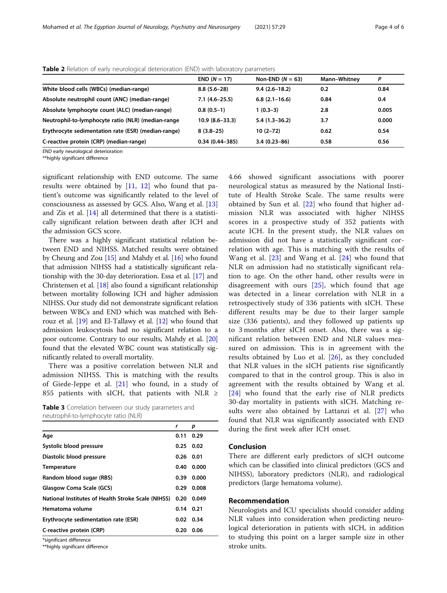|                                                     | $END (N = 17)$     | Non-END $(N = 63)$ | Mann-Whitney | P     |
|-----------------------------------------------------|--------------------|--------------------|--------------|-------|
| White blood cells (WBCs) (median-range)             | $8.8(5.6-28)$      | $9.4(2.6 - 18.2)$  | 0.2          | 0.84  |
| Absolute neutrophil count (ANC) (median-range)      | $7.1(4.6-25.5)$    | $6.8(2.1-16.6)$    | 0.84         | 0.4   |
| Absolute lymphocyte count (ALC) (median-range)      | $0.8(0.5-1)$       | $1(0.3-3)$         | 2.8          | 0.005 |
| Neutrophil-to-lymphocyte ratio (NLR) (median-range  | $10.9(8.6 - 33.3)$ | $5.4(1.3-36.2)$    | 3.7          | 0.000 |
| Erythrocyte sedimentation rate (ESR) (median-range) | $8(3.8-25)$        | $10(2 - 72)$       | 0.62         | 0.54  |
| C-reactive protein (CRP) (median-range)             | $0.34(0.44 - 385)$ | $3.4(0.23 - 86)$   | 0.58         | 0.56  |

<span id="page-3-0"></span>Table 2 Relation of early neurological deterioration (END) with laboratory parameters

END early neurological deterioration

\*\*highly significant difference

significant relationship with END outcome. The same results were obtained by [\[11](#page-5-0), [12](#page-5-0)] who found that patient's outcome was significantly related to the level of consciousness as assessed by GCS. Also, Wang et al. [[13](#page-5-0)] and Zis et al. [\[14](#page-5-0)] all determined that there is a statistically significant relation between death after ICH and the admission GCS score.

There was a highly significant statistical relation between END and NIHSS. Matched results were obtained by Cheung and Zou [[15](#page-5-0)] and Mahdy et al. [[16](#page-5-0)] who found that admission NIHSS had a statistically significant relationship with the 30-day deterioration. Essa et al. [\[17\]](#page-5-0) and Christensen et al. [\[18\]](#page-5-0) also found a significant relationship between mortality following ICH and higher admission NIHSS. Our study did not demonstrate significant relation between WBCs and END which was matched with Behrouz et al. [\[19](#page-5-0)] and El-Tallawy et al. [\[12\]](#page-5-0) who found that admission leukocytosis had no significant relation to a poor outcome. Contrary to our results, Mahdy et al. [[20](#page-5-0)] found that the elevated WBC count was statistically significantly related to overall mortality.

There was a positive correlation between NLR and admission NIHSS. This is matching with the results of Giede-Jeppe et al. [[21\]](#page-5-0) who found, in a study of 855 patients with sICH, that patients with NLR ≥

|                                      |  | Table 3 Correlation between our study parameters and |  |
|--------------------------------------|--|------------------------------------------------------|--|
| neutrophil-to-lymphocyte ratio (NLR) |  |                                                      |  |

|                                                    | r    | р     |  |
|----------------------------------------------------|------|-------|--|
| Age                                                | 0.11 | 0.29  |  |
| Systolic blood pressure                            | 0.25 | 0.02  |  |
| Diastolic blood pressure                           | 0.26 | 0.01  |  |
| <b>Temperature</b>                                 | 0.40 | 0.000 |  |
| Random blood sugar (RBS)                           | 0.39 | 0.000 |  |
| Glasgow Coma Scale (GCS)                           | 0.29 | 0.008 |  |
| National Institutes of Health Stroke Scale (NIHSS) | 0.20 | 0.049 |  |
| Hematoma volume                                    | 0.14 | 0.21  |  |
| Erythrocyte sedimentation rate (ESR)               | 0.02 | 0.34  |  |
| C-reactive protein (CRP)                           | 0.20 | 0.06  |  |
|                                                    |      |       |  |

\*significant difference

\*\*highly significant difference

4.66 showed significant associations with poorer neurological status as measured by the National Institute of Health Stroke Scale. The same results were obtained by Sun et al. [[22\]](#page-5-0) who found that higher admission NLR was associated with higher NIHSS scores in a prospective study of 352 patients with acute ICH. In the present study, the NLR values on admission did not have a statistically significant correlation with age. This is matching with the results of Wang et al. [[23\]](#page-5-0) and Wang et al. [\[24](#page-5-0)] who found that NLR on admission had no statistically significant relation to age. On the other hand, other results were in disagreement with ours [[25\]](#page-5-0), which found that age was detected in a linear correlation with NLR in a retrospectively study of 336 patients with sICH. These different results may be due to their larger sample size (336 patients), and they followed up patients up to 3 months after sICH onset. Also, there was a significant relation between END and NLR values measured on admission. This is in agreement with the results obtained by Luo et al. [[26](#page-5-0)], as they concluded that NLR values in the sICH patients rise significantly compared to that in the control group. This is also in agreement with the results obtained by Wang et al. [[24\]](#page-5-0) who found that the early rise of NLR predicts 30-day mortality in patients with sICH. Matching results were also obtained by Lattanzi et al. [\[27\]](#page-5-0) who found that NLR was significantly associated with END during the first week after ICH onset.

#### Conclusion

There are different early predictors of sICH outcome which can be classified into clinical predictors (GCS and NIHSS), laboratory predictors (NLR), and radiological predictors (large hematoma volume).

#### Recommendation

Neurologists and ICU specialists should consider adding NLR values into consideration when predicting neurological deterioration in patients with sICH, in addition to studying this point on a larger sample size in other stroke units.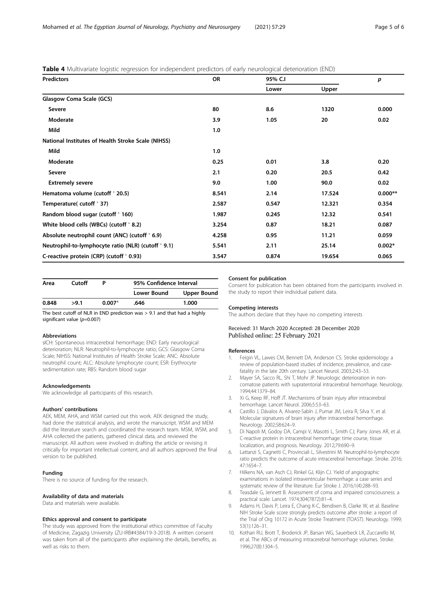#### <span id="page-4-0"></span>**Table 4** Multivariate logistic regression for independent predictors of early neurological deterioration (FND)

| <b>Predictors</b>                                    | <b>OR</b> | 95% C.I |        | p         |
|------------------------------------------------------|-----------|---------|--------|-----------|
|                                                      |           | Lower   | Upper  |           |
| Glasgow Coma Scale (GCS)                             |           |         |        |           |
| Severe                                               | 80        | 8.6     | 1320   | 0.000     |
| Moderate                                             | 3.9       | 1.05    | 20     | 0.02      |
| Mild                                                 | 1.0       |         |        |           |
| National Institutes of Health Stroke Scale (NIHSS)   |           |         |        |           |
| Mild                                                 | 1.0       |         |        |           |
| Moderate                                             | 0.25      | 0.01    | 3.8    | 0.20      |
| Severe                                               | 2.1       | 0.20    | 20.5   | 0.42      |
| <b>Extremely severe</b>                              | 9.0       | 1.00    | 90.0   | 0.02      |
| Hematoma volume (cutoff > 20.5)                      | 8.541     | 2.14    | 17.524 | $0.000**$ |
| Temperature(cutoff > 37)                             | 2.587     | 0.547   | 12.321 | 0.354     |
| Random blood sugar (cutoff > 160)                    | 1.987     | 0.245   | 12.32  | 0.541     |
| White blood cells (WBCs) (cutoff $\geq$ 8.2)         | 3.254     | 0.87    | 18.21  | 0.087     |
| Absolute neutrophil count (ANC) (cutoff $\geq 6.9$ ) | 4.258     | 0.95    | 11.21  | 0.059     |
| Neutrophil-to-lymphocyte ratio (NLR) (cutoff > 9.1)  | 5.541     | 2.11    | 25.14  | $0.002*$  |
| C-reactive protein (CRP) (cutoff $\degree$ 0.93)     | 3.547     | 0.874   | 19.654 | 0.065     |

| Cutoff<br>Area |      |          | 95% Confidence Interval |                    |  |
|----------------|------|----------|-------------------------|--------------------|--|
|                |      |          | Lower Bound             | <b>Upper Bound</b> |  |
| 0.848          | >9.1 | $0.007*$ | .646                    | 1.000              |  |

The best cutoff of NLR in END prediction was  $> 9.1$  and that had a highly significant value ( $p=0.007$ )

#### Abbreviations

sICH: Spontaneous intracerebral hemorrhage; END: Early neurological deterioration; NLR: Neutrophil-to-lymphocyte ratio; GCS: Glasgow Coma Scale; NIHSS: National Institutes of Health Stroke Scale; ANC: Absolute neutrophil count; ALC: Absolute lymphocyte count; ESR: Erythrocyte sedimentation rate; RBS: Random blood sugar

#### Acknowledgements

We acknowledge all participants of this research.

#### Authors' contributions

AEK, MEM, AHA, and WSM carried out this work. AEK designed the study, had done the statistical analysis, and wrote the manuscript. WSM and MEM did the literature search and coordinated the research team. MSM, WSM, and AHA collected the patients, gathered clinical data, and reviewed the manuscript. All authors were involved in drafting the article or revising it critically for important intellectual content, and all authors approved the final version to be published.

#### Funding

There is no source of funding for the research.

#### Availability of data and materials

Data and materials were available.

#### Ethics approval and consent to participate

The study was approved from the institutional ethics committee of Faculty of Medicine, Zagazig University (ZU-IRB#4384/19-3-2018). A written consent was taken from all of the participants after explaining the details, benefits, as well as risks to them.

#### Consent for publication

Consent for publication has been obtained from the participants involved in the study to report their individual patient data.

#### Competing interests

The authors declare that they have no competing interests

#### Received: 31 March 2020 Accepted: 28 December 2020 Published online: 25 February 2021

#### References

- 1. Feigin VL, Lawes CM, Bennett DA, Anderson CS. Stroke epidemiology: a review of population-based studies of incidence, prevalence, and casefatality in the late 20th century. Lancet Neurol. 2003;2:43–53.
- 2. Mayer SA, Sacco RL, Shi T, Mohr JP. Neurologic deterioration in noncomatose patients with supratentorial intracerebral hemorrhage. Neurology. 1994;44:1379–84.
- 3. Xi G, Keep RF, Hoff JT. Mechanisms of brain injury after intracerebral hemorrhage. Lancet Neurol. 2006;5:53–63.
- 4. Castillo J, Dávalos A, Alvarez-Sabín J, Pumar JM, Leira R, Silva Y, et al. Molecular signatures of brain injury after intracerebral hemorrhage. Neurology. 2002;58:624–9.
- 5. Di Napoli M, Godoy DA, Campi V, Masotti L, Smith CJ, Parry Jones AR, et al. C-reactive protein in intracerebral hemorrhage: time course, tissue localization, and prognosis. Neurology. 2012;79:690–9.
- 6. Lattanzi S, Cagnetti C, Provinciali L, Silvestrini M. Neutrophil-to-lymphocyte ratio predicts the outcome of acute intracerebral hemorrhage. Stroke. 2016; 47:1654–7.
- 7. Hilkens NA, van Asch CJ, Rinkel GJ, Klijn CJ. Yield of angiographic examinations in isolated intraventricular hemorrhage: a case series and systematic review of the literature. Eur Stroke J. 2016;1(4):288–93.
- 8. Teasdale G, Jennett B. Assessment of coma and impaired consciousness: a practical scale. Lancet. 1974;304(7872):81–4.
- 9. Adams H, Davis P, Leira E, Chang K-C, Bendixen B, Clarke W, et al. Baseline NIH Stroke Scale score strongly predicts outcome after stroke: a report of the Trial of Org 10172 in Acute Stroke Treatment (TOAST). Neurology. 1999; 53(1):126–31.
- 10. Kothari RU, Brott T, Broderick JP, Barsan WG, Sauerbeck LR, Zuccarello M, et al. The ABCs of measuring intracerebral hemorrhage volumes. Stroke. 1996;27(8):1304–5.